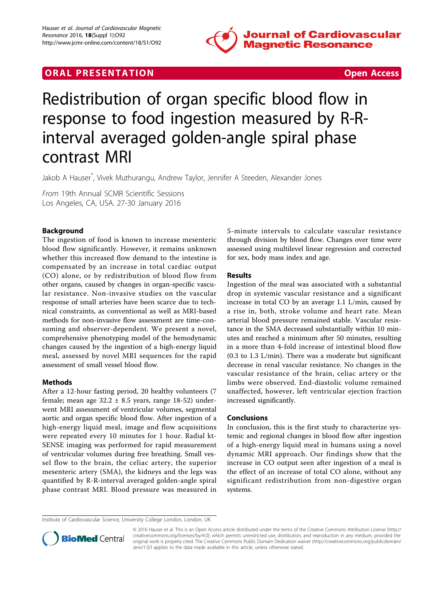

## **ORAL PRESENTATION CONSUMING ACCESS**



# Redistribution of organ specific blood flow in response to food ingestion measured by R-Rinterval averaged golden-angle spiral phase contrast MRI

Jakob A Hauser\* , Vivek Muthurangu, Andrew Taylor, Jennifer A Steeden, Alexander Jones

From 19th Annual SCMR Scientific Sessions Los Angeles, CA, USA. 27-30 January 2016

### Background

The ingestion of food is known to increase mesenteric blood flow significantly. However, it remains unknown whether this increased flow demand to the intestine is compensated by an increase in total cardiac output (CO) alone, or by redistribution of blood flow from other organs, caused by changes in organ-specific vascular resistance. Non-invasive studies on the vascular response of small arteries have been scarce due to technical constraints, as conventional as well as MRI-based methods for non-invasive flow assessment are time-consuming and observer-dependent. We present a novel, comprehensive phenotyping model of the hemodynamic changes caused by the ingestion of a high-energy liquid meal, assessed by novel MRI sequences for the rapid assessment of small vessel blood flow.

#### Methods

After a 12-hour fasting period, 20 healthy volunteers (7 female; mean age  $32.2 \pm 8.5$  years, range 18-52) underwent MRI assessment of ventricular volumes, segmental aortic and organ specific blood flow. After ingestion of a high-energy liquid meal, image and flow acquisitions were repeated every 10 minutes for 1 hour. Radial kt-SENSE imaging was performed for rapid measurement of ventricular volumes during free breathing. Small vessel flow to the brain, the celiac artery, the superior mesenteric artery (SMA), the kidneys and the legs was quantified by R-R-interval averaged golden-angle spiral phase contrast MRI. Blood pressure was measured in

5-minute intervals to calculate vascular resistance through division by blood flow. Changes over time were assessed using multilevel linear regression and corrected for sex, body mass index and age.

#### Results

Ingestion of the meal was associated with a substantial drop in systemic vascular resistance and a significant increase in total CO by an average 1.1 L/min, caused by a rise in, both, stroke volume and heart rate. Mean arterial blood pressure remained stable. Vascular resistance in the SMA decreased substantially within 10 minutes and reached a minimum after 50 minutes, resulting in a more than 4-fold increase of intestinal blood flow (0.3 to 1.3 L/min). There was a moderate but significant decrease in renal vascular resistance. No changes in the vascular resistance of the brain, celiac artery or the limbs were observed. End-diastolic volume remained unaffected, however, left ventricular ejection fraction increased significantly.

#### Conclusions

In conclusion, this is the first study to characterize systemic and regional changes in blood flow after ingestion of a high-energy liquid meal in humans using a novel dynamic MRI approach. Our findings show that the increase in CO output seen after ingestion of a meal is the effect of an increase of total CO alone, without any significant redistribution from non-digestive organ systems.

Institute of Cardiovascular Science, University College London, London, UK



<sup>© 2016</sup> Hauser et al. This is an Open Access article distributed under the terms of the Creative Commons Attribution License [\(http://](http://creativecommons.org/licenses/by/4.0) [creativecommons.org/licenses/by/4.0](http://creativecommons.org/licenses/by/4.0)), which permits unrestricted use, distribution, and reproduction in any medium, provided the original work is properly cited. The Creative Commons Public Domain Dedication waiver ([http://creativecommons.org/publicdomain/](http://creativecommons.org/publicdomain/zero/1.0/) [zero/1.0/](http://creativecommons.org/publicdomain/zero/1.0/)) applies to the data made available in this article, unless otherwise stated.